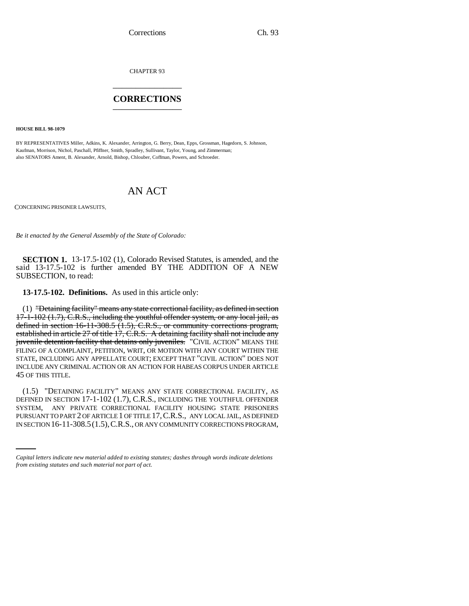CHAPTER 93 \_\_\_\_\_\_\_\_\_\_\_\_\_\_\_

## **CORRECTIONS** \_\_\_\_\_\_\_\_\_\_\_\_\_\_\_

**HOUSE BILL 98-1079**

BY REPRESENTATIVES Miller, Adkins, K. Alexander, Arrington, G. Berry, Dean, Epps, Grossman, Hagedorn, S. Johnson, Kaufman, Morrison, Nichol, Paschall, Pfiffner, Smith, Spradley, Sullivant, Taylor, Young, and Zimmerman; also SENATORS Ament, B. Alexander, Arnold, Bishop, Chlouber, Coffman, Powers, and Schroeder.

## AN ACT

CONCERNING PRISONER LAWSUITS.

*Be it enacted by the General Assembly of the State of Colorado:*

**SECTION 1.** 13-17.5-102 (1), Colorado Revised Statutes, is amended, and the said 13-17.5-102 is further amended BY THE ADDITION OF A NEW SUBSECTION, to read:

**13-17.5-102. Definitions.** As used in this article only:

(1) "Detaining facility" means any state correctional facility, as defined in section 17-1-102 (1.7), C.R.S., including the youthful offender system, or any local jail, as defined in section 16-11-308.5 (1.5), C.R.S., or community corrections program, established in article 27 of title 17, C.R.S. A detaining facility shall not include any juvenile detention facility that detains only juveniles. "CIVIL ACTION" MEANS THE FILING OF A COMPLAINT, PETITION, WRIT, OR MOTION WITH ANY COURT WITHIN THE STATE, INCLUDING ANY APPELLATE COURT; EXCEPT THAT "CIVIL ACTION" DOES NOT INCLUDE ANY CRIMINAL ACTION OR AN ACTION FOR HABEAS CORPUS UNDER ARTICLE 45 OF THIS TITLE.

SYSTEM, ANY PRIVATE CORRECTIONAL FACILITY HOUSING STATE PRISONERS (1.5) "DETAINING FACILITY" MEANS ANY STATE CORRECTIONAL FACILITY, AS DEFINED IN SECTION 17-1-102 (1.7), C.R.S., INCLUDING THE YOUTHFUL OFFENDER PURSUANT TO PART 2 OF ARTICLE 1 OF TITLE 17,C.R.S., ANY LOCAL JAIL, AS DEFINED IN SECTION 16-11-308.5(1.5),C.R.S., OR ANY COMMUNITY CORRECTIONS PROGRAM,

*Capital letters indicate new material added to existing statutes; dashes through words indicate deletions from existing statutes and such material not part of act.*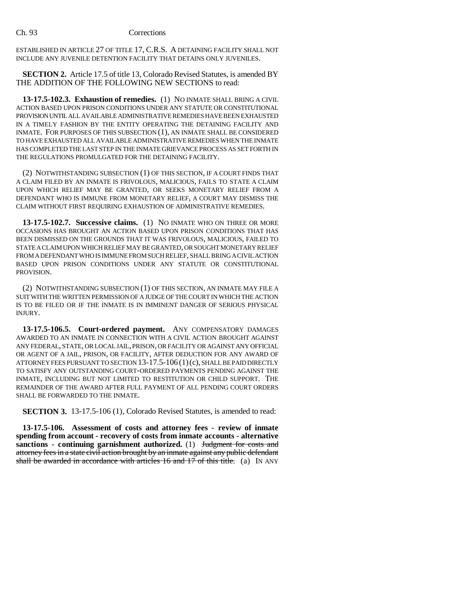ESTABLISHED IN ARTICLE 27 OF TITLE 17, C.R.S. A DETAINING FACILITY SHALL NOT INCLUDE ANY JUVENILE DETENTION FACILITY THAT DETAINS ONLY JUVENILES.

**SECTION 2.** Article 17.5 of title 13, Colorado Revised Statutes, is amended BY THE ADDITION OF THE FOLLOWING NEW SECTIONS to read:

**13-17.5-102.3. Exhaustion of remedies.** (1) NO INMATE SHALL BRING A CIVIL ACTION BASED UPON PRISON CONDITIONS UNDER ANY STATUTE OR CONSTITUTIONAL PROVISION UNTIL ALL AVAILABLE ADMINISTRATIVE REMEDIES HAVE BEEN EXHAUSTED IN A TIMELY FASHION BY THE ENTITY OPERATING THE DETAINING FACILITY AND INMATE. FOR PURPOSES OF THIS SUBSECTION (1), AN INMATE SHALL BE CONSIDERED TO HAVE EXHAUSTED ALL AVAILABLE ADMINISTRATIVE REMEDIES WHEN THE INMATE HAS COMPLETED THE LAST STEP IN THE INMATE GRIEVANCE PROCESS AS SET FORTH IN THE REGULATIONS PROMULGATED FOR THE DETAINING FACILITY.

(2) NOTWITHSTANDING SUBSECTION (1) OF THIS SECTION, IF A COURT FINDS THAT A CLAIM FILED BY AN INMATE IS FRIVOLOUS, MALICIOUS, FAILS TO STATE A CLAIM UPON WHICH RELIEF MAY BE GRANTED, OR SEEKS MONETARY RELIEF FROM A DEFENDANT WHO IS IMMUNE FROM MONETARY RELIEF, A COURT MAY DISMISS THE CLAIM WITHOUT FIRST REQUIRING EXHAUSTION OF ADMINISTRATIVE REMEDIES.

**13-17.5-102.7. Successive claims.** (1) NO INMATE WHO ON THREE OR MORE OCCASIONS HAS BROUGHT AN ACTION BASED UPON PRISON CONDITIONS THAT HAS BEEN DISMISSED ON THE GROUNDS THAT IT WAS FRIVOLOUS, MALICIOUS, FAILED TO STATE A CLAIM UPON WHICH RELIEF MAY BE GRANTED, OR SOUGHT MONETARY RELIEF FROM A DEFENDANT WHO IS IMMUNE FROM SUCH RELIEF, SHALL BRING A CIVIL ACTION BASED UPON PRISON CONDITIONS UNDER ANY STATUTE OR CONSTITUTIONAL PROVISION.

(2) NOTWITHSTANDING SUBSECTION (1) OF THIS SECTION, AN INMATE MAY FILE A SUIT WITH THE WRITTEN PERMISSION OF A JUDGE OF THE COURT IN WHICH THE ACTION IS TO BE FILED OR IF THE INMATE IS IN IMMINENT DANGER OF SERIOUS PHYSICAL INJURY.

**13-17.5-106.5. Court-ordered payment.** ANY COMPENSATORY DAMAGES AWARDED TO AN INMATE IN CONNECTION WITH A CIVIL ACTION BROUGHT AGAINST ANY FEDERAL, STATE, OR LOCAL JAIL, PRISON, OR FACILITY OR AGAINST ANY OFFICIAL OR AGENT OF A JAIL, PRISON, OR FACILITY, AFTER DEDUCTION FOR ANY AWARD OF ATTORNEY FEES PURSUANT TO SECTION 13-17.5-106 (1)(c), SHALL BE PAID DIRECTLY TO SATISFY ANY OUTSTANDING COURT-ORDERED PAYMENTS PENDING AGAINST THE INMATE, INCLUDING BUT NOT LIMITED TO RESTITUTION OR CHILD SUPPORT. THE REMAINDER OF THE AWARD AFTER FULL PAYMENT OF ALL PENDING COURT ORDERS SHALL BE FORWARDED TO THE INMATE.

**SECTION 3.** 13-17.5-106 (1), Colorado Revised Statutes, is amended to read:

**13-17.5-106. Assessment of costs and attorney fees - review of inmate spending from account - recovery of costs from inmate accounts - alternative sanctions - continuing garnishment authorized.** (1) Judgment for costs and attorney fees in a state civil action brought by an inmate against any public defendant shall be awarded in accordance with articles  $16$  and  $17$  of this title. (a) IN ANY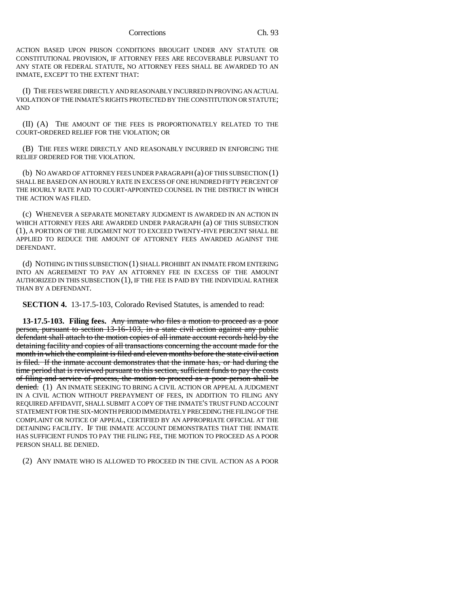Corrections Ch. 93

ACTION BASED UPON PRISON CONDITIONS BROUGHT UNDER ANY STATUTE OR CONSTITUTIONAL PROVISION, IF ATTORNEY FEES ARE RECOVERABLE PURSUANT TO ANY STATE OR FEDERAL STATUTE, NO ATTORNEY FEES SHALL BE AWARDED TO AN INMATE, EXCEPT TO THE EXTENT THAT:

(I) THE FEES WERE DIRECTLY AND REASONABLY INCURRED IN PROVING AN ACTUAL VIOLATION OF THE INMATE'S RIGHTS PROTECTED BY THE CONSTITUTION OR STATUTE; AND

(II) (A) THE AMOUNT OF THE FEES IS PROPORTIONATELY RELATED TO THE COURT-ORDERED RELIEF FOR THE VIOLATION; OR

(B) THE FEES WERE DIRECTLY AND REASONABLY INCURRED IN ENFORCING THE RELIEF ORDERED FOR THE VIOLATION.

(b) NO AWARD OF ATTORNEY FEES UNDER PARAGRAPH (a) OF THIS SUBSECTION (1) SHALL BE BASED ON AN HOURLY RATE IN EXCESS OF ONE HUNDRED FIFTY PERCENT OF THE HOURLY RATE PAID TO COURT-APPOINTED COUNSEL IN THE DISTRICT IN WHICH THE ACTION WAS FILED.

(c) WHENEVER A SEPARATE MONETARY JUDGMENT IS AWARDED IN AN ACTION IN WHICH ATTORNEY FEES ARE AWARDED UNDER PARAGRAPH (a) OF THIS SUBSECTION (1), A PORTION OF THE JUDGMENT NOT TO EXCEED TWENTY-FIVE PERCENT SHALL BE APPLIED TO REDUCE THE AMOUNT OF ATTORNEY FEES AWARDED AGAINST THE DEFENDANT.

(d) NOTHING IN THIS SUBSECTION (1) SHALL PROHIBIT AN INMATE FROM ENTERING INTO AN AGREEMENT TO PAY AN ATTORNEY FEE IN EXCESS OF THE AMOUNT AUTHORIZED IN THIS SUBSECTION (1), IF THE FEE IS PAID BY THE INDIVIDUAL RATHER THAN BY A DEFENDANT.

**SECTION 4.** 13-17.5-103, Colorado Revised Statutes, is amended to read:

**13-17.5-103. Filing fees.** Any inmate who files a motion to proceed as a poor person, pursuant to section 13-16-103, in a state civil action against any public defendant shall attach to the motion copies of all inmate account records held by the detaining facility and copies of all transactions concerning the account made for the month in which the complaint is filed and eleven months before the state civil action is filed. If the inmate account demonstrates that the inmate has, or had during the time period that is reviewed pursuant to this section, sufficient funds to pay the costs of filing and service of process, the motion to proceed as a poor person shall be denied. (1) AN INMATE SEEKING TO BRING A CIVIL ACTION OR APPEAL A JUDGMENT IN A CIVIL ACTION WITHOUT PREPAYMENT OF FEES, IN ADDITION TO FILING ANY REQUIRED AFFIDAVIT, SHALL SUBMIT A COPY OF THE INMATE'S TRUST FUND ACCOUNT STATEMENT FOR THE SIX-MONTH PERIOD IMMEDIATELY PRECEDING THE FILING OF THE COMPLAINT OR NOTICE OF APPEAL, CERTIFIED BY AN APPROPRIATE OFFICIAL AT THE DETAINING FACILITY. IF THE INMATE ACCOUNT DEMONSTRATES THAT THE INMATE HAS SUFFICIENT FUNDS TO PAY THE FILING FEE, THE MOTION TO PROCEED AS A POOR PERSON SHALL BE DENIED.

(2) ANY INMATE WHO IS ALLOWED TO PROCEED IN THE CIVIL ACTION AS A POOR